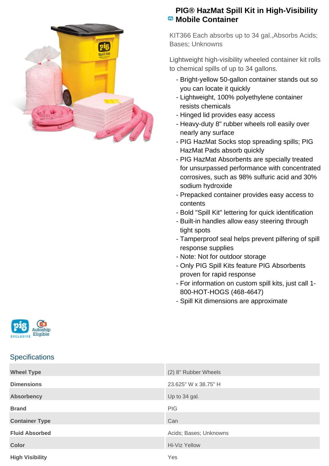

## **PIG® HazMat Spill Kit in High-Visibility E** Mobile Container

KIT366 Each absorbs up to 34 gal.,Absorbs Acids; Bases; Unknowns

Lightweight high-visibility wheeled container kit rolls to chemical spills of up to 34 gallons.

- Bright-yellow 50-gallon container stands out so you can locate it quickly
- Lightweight, 100% polyethylene container resists chemicals
- Hinged lid provides easy access
- Heavy-duty 8" rubber wheels roll easily over nearly any surface
- PIG HazMat Socks stop spreading spills; PIG HazMat Pads absorb quickly
- PIG HazMat Absorbents are specially treated for unsurpassed performance with concentrated corrosives, such as 98% sulfuric acid and 30% sodium hydroxide
- Prepacked container provides easy access to contents
- Bold "Spill Kit" lettering for quick identification
- Built-in handles allow easy steering through tight spots
- Tamperproof seal helps prevent pilfering of spill response supplies
- Note: Not for outdoor storage
- Only PIG Spill Kits feature PIG Absorbents proven for rapid response
- For information on custom spill kits, just call 1-800-HOT-HOGS (468-4647)
- Spill Kit dimensions are approximate



## **Specifications**

| <b>Wheel Type</b>      | (2) 8" Rubber Wheels   |
|------------------------|------------------------|
| <b>Dimensions</b>      | 23.625" W x 38.75" H   |
| <b>Absorbency</b>      | Up to 34 gal.          |
| <b>Brand</b>           | <b>PIG</b>             |
| <b>Container Type</b>  | Can                    |
| <b>Fluid Absorbed</b>  | Acids; Bases; Unknowns |
| <b>Color</b>           | <b>Hi-Viz Yellow</b>   |
| <b>High Visibility</b> | Yes                    |